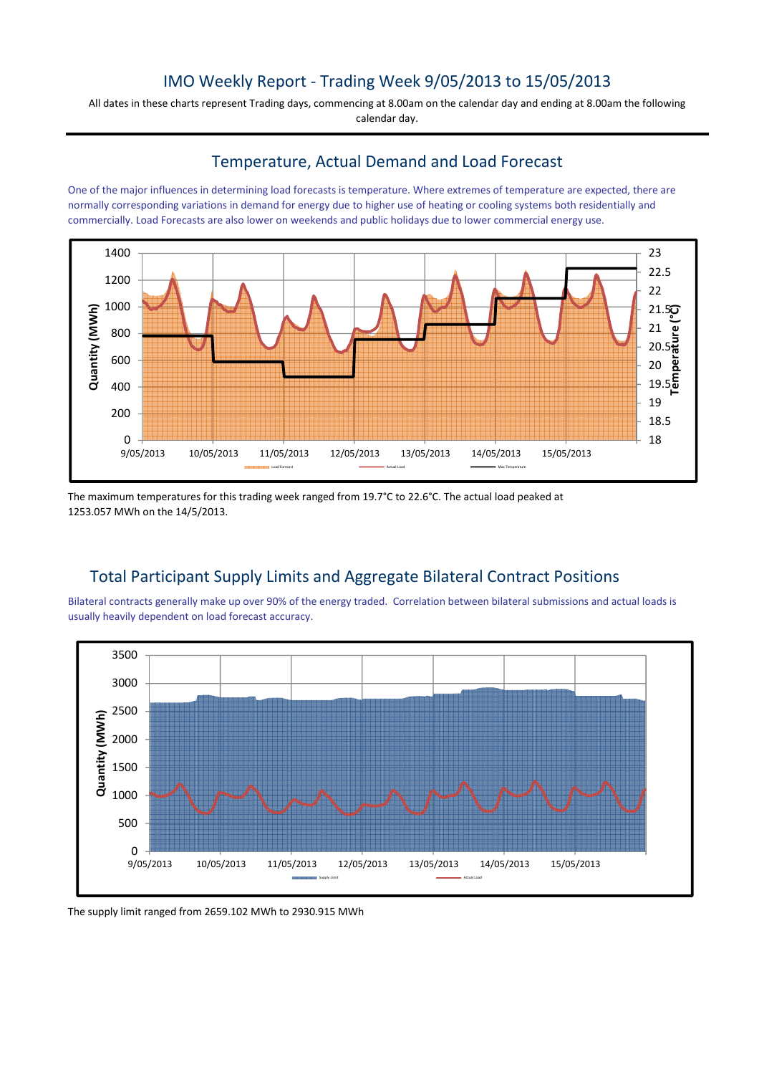## IMO Weekly Report - Trading Week 9/05/2013 to 15/05/2013

All dates in these charts represent Trading days, commencing at 8.00am on the calendar day and ending at 8.00am the following calendar day.

#### Temperature, Actual Demand and Load Forecast

One of the major influences in determining load forecasts is temperature. Where extremes of temperature are expected, there are normally corresponding variations in demand for energy due to higher use of heating or cooling systems both residentially and commercially. Load Forecasts are also lower on weekends and public holidays due to lower commercial energy use.



The maximum temperatures for this trading week ranged from 19.7°C to 22.6°C. The actual load peaked at 1253.057 MWh on the 14/5/2013.

# Total Participant Supply Limits and Aggregate Bilateral Contract Positions

Bilateral contracts generally make up over 90% of the energy traded. Correlation between bilateral submissions and actual loads is usually heavily dependent on load forecast accuracy.



The supply limit ranged from 2659.102 MWh to 2930.915 MWh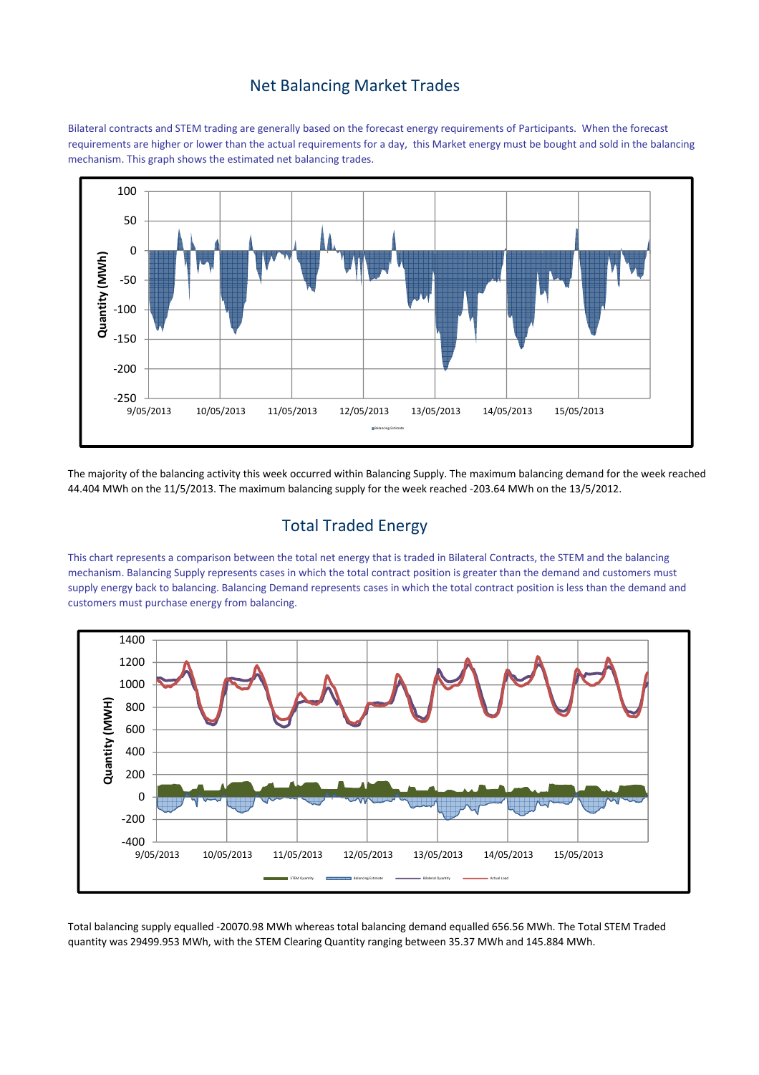#### Net Balancing Market Trades

Bilateral contracts and STEM trading are generally based on the forecast energy requirements of Participants. When the forecast requirements are higher or lower than the actual requirements for a day, this Market energy must be bought and sold in the balancing mechanism. This graph shows the estimated net balancing trades.



The majority of the balancing activity this week occurred within Balancing Supply. The maximum balancing demand for the week reached 44.404 MWh on the 11/5/2013. The maximum balancing supply for the week reached -203.64 MWh on the 13/5/2012.

# Total Traded Energy

This chart represents a comparison between the total net energy that is traded in Bilateral Contracts, the STEM and the balancing mechanism. Balancing Supply represents cases in which the total contract position is greater than the demand and customers must supply energy back to balancing. Balancing Demand represents cases in which the total contract position is less than the demand and customers must purchase energy from balancing.



Total balancing supply equalled -20070.98 MWh whereas total balancing demand equalled 656.56 MWh. The Total STEM Traded quantity was 29499.953 MWh, with the STEM Clearing Quantity ranging between 35.37 MWh and 145.884 MWh.